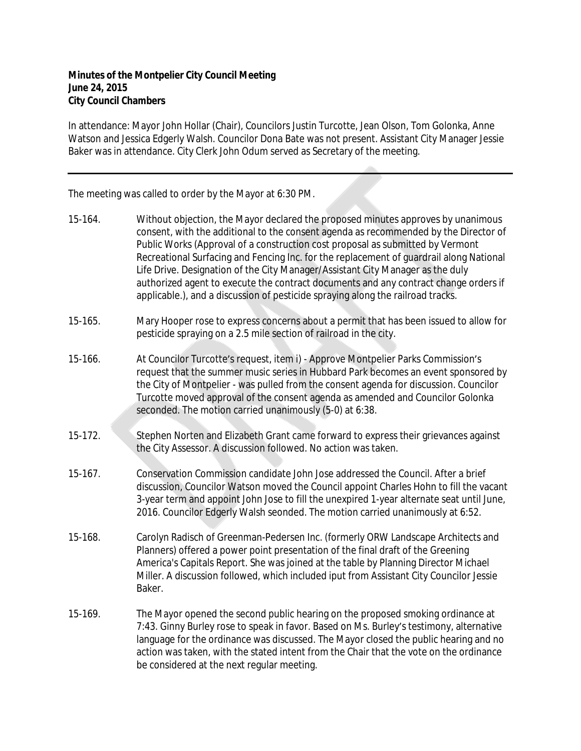In attendance: Mayor John Hollar (Chair), Councilors Justin Turcotte, Jean Olson, Tom Golonka, Anne Watson and Jessica Edgerly Walsh. Councilor Dona Bate was not present. Assistant City Manager Jessie Baker was in attendance. City Clerk John Odum served as Secretary of the meeting.

The meeting was called to order by the Mayor at 6:30 PM.

| 15-164. | Without objection, the Mayor declared the proposed minutes approves by unanimous<br>consent, with the additional to the consent agenda as recommended by the Director of<br>Public Works (Approval of a construction cost proposal as submitted by Vermont<br>Recreational Surfacing and Fencing Inc. for the replacement of guardrail along National<br>Life Drive. Designation of the City Manager/Assistant City Manager as the duly<br>authorized agent to execute the contract documents and any contract change orders if<br>applicable.), and a discussion of pesticide spraying along the railroad tracks. |
|---------|--------------------------------------------------------------------------------------------------------------------------------------------------------------------------------------------------------------------------------------------------------------------------------------------------------------------------------------------------------------------------------------------------------------------------------------------------------------------------------------------------------------------------------------------------------------------------------------------------------------------|
| 15-165. | Mary Hooper rose to express concerns about a permit that has been issued to allow for<br>pesticide spraying on a 2.5 mile section of railroad in the city.                                                                                                                                                                                                                                                                                                                                                                                                                                                         |
| 15-166. | At Councilor Turcotte's request, item i) - Approve Montpelier Parks Commission's<br>request that the summer music series in Hubbard Park becomes an event sponsored by<br>the City of Montpelier - was pulled from the consent agenda for discussion. Councilor<br>Turcotte moved approval of the consent agenda as amended and Councilor Golonka<br>seconded. The motion carried unanimously (5-0) at 6:38.                                                                                                                                                                                                       |
| 15-172. | Stephen Norten and Elizabeth Grant came forward to express their grievances against<br>the City Assessor. A discussion followed. No action was taken.                                                                                                                                                                                                                                                                                                                                                                                                                                                              |
| 15-167. | Conservation Commission candidate John Jose addressed the Council. After a brief<br>discussion, Councilor Watson moved the Council appoint Charles Hohn to fill the vacant<br>3-year term and appoint John Jose to fill the unexpired 1-year alternate seat until June,<br>2016. Councilor Edgerly Walsh seonded. The motion carried unanimously at 6:52.                                                                                                                                                                                                                                                          |
| 15-168. | Carolyn Radisch of Greenman-Pedersen Inc. (formerly ORW Landscape Architects and<br>Planners) offered a power point presentation of the final draft of the Greening<br>America's Capitals Report. She was joined at the table by Planning Director Michael<br>Miller. A discussion followed, which included iput from Assistant City Councilor Jessie<br>Baker.                                                                                                                                                                                                                                                    |
| 15-169. | The Mayor opened the second public hearing on the proposed smoking ordinance at<br>7:43. Ginny Burley rose to speak in favor. Based on Ms. Burley's testimony, alternative<br>language for the ordinance was discussed. The Mayor closed the public hearing and no<br>action was taken, with the stated intent from the Chair that the vote on the ordinance<br>be considered at the next regular meeting.                                                                                                                                                                                                         |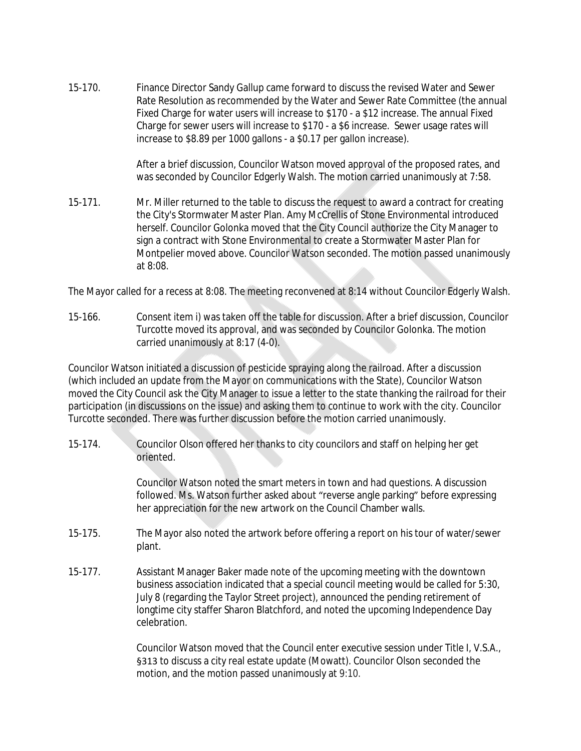15-170. Finance Director Sandy Gallup came forward to discuss the revised Water and Sewer Rate Resolution as recommended by the Water and Sewer Rate Committee (the annual Fixed Charge for water users will increase to \$170 - a \$12 increase. The annual Fixed Charge for sewer users will increase to \$170 - a \$6 increase. Sewer usage rates will increase to \$8.89 per 1000 gallons - a \$0.17 per gallon increase).

> After a brief discussion, Councilor Watson moved approval of the proposed rates, and was seconded by Councilor Edgerly Walsh. The motion carried unanimously at 7:58.

15-171. Mr. Miller returned to the table to discuss the request to award a contract for creating the City's Stormwater Master Plan. Amy McCrellis of Stone Environmental introduced herself. Councilor Golonka moved that the City Council authorize the City Manager to sign a contract with Stone Environmental to create a Stormwater Master Plan for Montpelier moved above. Councilor Watson seconded. The motion passed unanimously at 8:08.

The Mayor called for a recess at 8:08. The meeting reconvened at 8:14 without Councilor Edgerly Walsh.

15-166. Consent item i) was taken off the table for discussion. After a brief discussion, Councilor Turcotte moved its approval, and was seconded by Councilor Golonka. The motion carried unanimously at 8:17 (4-0).

Councilor Watson initiated a discussion of pesticide spraying along the railroad. After a discussion (which included an update from the Mayor on communications with the State), Councilor Watson moved the City Council ask the City Manager to issue a letter to the state thanking the railroad for their participation (in discussions on the issue) and asking them to continue to work with the city. Councilor Turcotte seconded. There was further discussion before the motion carried unanimously.

15-174. Councilor Olson offered her thanks to city councilors and staff on helping her get oriented.

> Councilor Watson noted the smart meters in town and had questions. A discussion followed. Ms. Watson further asked about "reverse angle parking" before expressing her appreciation for the new artwork on the Council Chamber walls.

- 15-175. The Mayor also noted the artwork before offering a report on his tour of water/sewer plant.
- 15-177. Assistant Manager Baker made note of the upcoming meeting with the downtown business association indicated that a special council meeting would be called for 5:30, July 8 (regarding the Taylor Street project), announced the pending retirement of longtime city staffer Sharon Blatchford, and noted the upcoming Independence Day celebration.

Councilor Watson moved that the Council enter executive session under Title I, V.S.A., §313 to discuss a city real estate update (Mowatt). Councilor Olson seconded the motion, and the motion passed unanimously at 9:10.